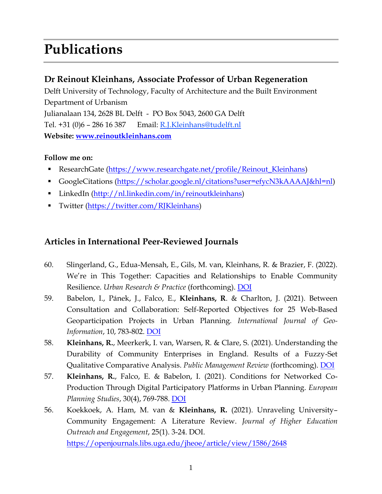# **Publications**

## **Dr Reinout Kleinhans, Associate Professor of Urban Regeneration**

Delft University of Technology, Faculty of Architecture and the Built Environment Department of Urbanism Julianalaan 134, 2628 BL Delft - PO Box 5043, 2600 GA Delft Tel. +31 (0)6 – 286 16 387 Email: [R.J.Kleinhans@tudelft.nl](mailto:R.J.Kleinhans@tudelft.nl) **Website: [www.reinoutkleinhans.com](http://www.reinoutkleinhans.com/)**

### **Follow me on:**

- ResearchGate [\(https://www.researchgate.net/profile/Reinout\\_Kleinhans\)](https://www.researchgate.net/profile/Reinout_Kleinhans)
- GoogleCitations [\(https://scholar.google.nl/citations?user=efycN3kAAAAJ&hl=nl\)](https://scholar.google.nl/citations?user=efycN3kAAAAJ&hl=nl)
- LinkedIn [\(http://nl.linkedin.com/in/reinoutkleinhans\)](http://nl.linkedin.com/in/reinoutkleinhans)
- Twitter [\(https://twitter.com/RJKleinhans\)](https://twitter.com/RJKleinhans)

# **Articles in International Peer-Reviewed Journals**

- 60. Slingerland, G., Edua-Mensah, E., Gils, M. van, Kleinhans, R. & Brazier, F. (2022). We're in This Together: Capacities and Relationships to Enable Community Resilience. *Urban Research & Practice* (forthcoming). [DOI](https://doi.org/10.1080/17535069.2022.2036804)
- 59. Babelon, I., Pánek, J., Falco, E., **Kleinhans, R**. & Charlton, J. (2021). Between Consultation and Collaboration: Self-Reported Objectives for 25 Web-Based Geoparticipation Projects in Urban Planning. *International Journal of Geo-Information*, 10, 783-802. [DOI](https://doi.org/10.3390/ijgi10110783)
- 58. **Kleinhans, R.**, Meerkerk, I. van, Warsen, R. & Clare, S. (2021). Understanding the Durability of Community Enterprises in England. Results of a Fuzzy-Set Qualitative Comparative Analysis. *Public Management Review* (forthcoming). [DOI](http://dx.doi.org/10.1080/14719037.2021.1999669)
- 57. **Kleinhans, R.**, Falco, E. & Babelon, I. (2021). Conditions for Networked Co-Production Through Digital Participatory Platforms in Urban Planning. *European Planning Studies*, 30(4), 769-788. [DOI](https://doi.org/10.1080/09654313.2021.1998387)
- 56. Koekkoek, A. Ham, M. van & **Kleinhans, R.** (2021). Unraveling University– Community Engagement: A Literature Review. *Journal of Higher Education Outreach and Engagement*, 25(1). 3-24. DOI. <https://openjournals.libs.uga.edu/jheoe/article/view/1586/2648>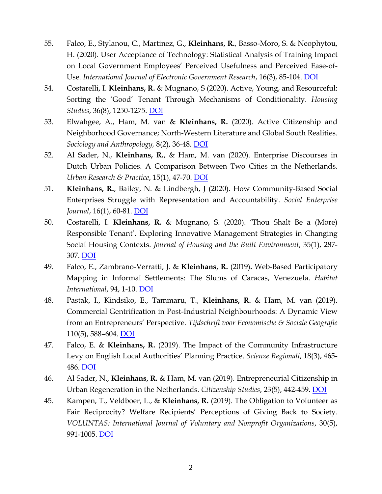- 55. Falco, E., Stylanou, C., Martinez, G., **Kleinhans, R.**, Basso-Moro, S. & Neophytou, H. (2020). User Acceptance of Technology: Statistical Analysis of Training Impact on Local Government Employees' Perceived Usefulness and Perceived Ease-of-Use. *International Journal of Electronic Government Research*, 16(3), 85-104. [DOI](https://doi.org/10.4018/IJEGR.2020070105)
- 54. Costarelli, I. **Kleinhans, R.** & Mugnano, S (2020). Active, Young, and Resourceful: Sorting the 'Good' Tenant Through Mechanisms of Conditionality. *Housing Studies*, 36(8), 1250-1275. [DOI](https://doi.org/10.1080/02673037.2020.1759789)
- 53. Elwahgee, A., Ham, M. van & **Kleinhans, R.** (2020). Active Citizenship and Neighborhood Governance; North-Western Literature and Global South Realities. *Sociology and Anthropology,* 8(2), 36-48. [DOI](https://doi.org/10.13189/sa.2020.080202)
- 52. Al Sader, N., **Kleinhans, R.**, & Ham, M. van (2020). Enterprise Discourses in Dutch Urban Policies. A Comparison Between Two Cities in the Netherlands. *Urban Research & Practice*, 15(1), 47-70. [DOI](https://www.tandfonline.com/doi/full/10.1080/17535069.2020.1714710)
- 51. **Kleinhans, R.**, Bailey, N. & Lindbergh, J (2020). How Community-Based Social Enterprises Struggle with Representation and Accountability. *Social Enterprise Journal*, 16(1), 60-81. [DOI](https://doi.org/10.1108/SEJ-12-2018-0074)
- 50. Costarelli, I. **Kleinhans, R.** & Mugnano, S. (2020). 'Thou Shalt Be a (More) Responsible Tenant'. Exploring Innovative Management Strategies in Changing Social Housing Contexts. *Journal of Housing and the Built Environment*, 35(1), 287- 307. [DOI](https://doi.org/10.1007/s10901-019-09680-0)
- 49. Falco, E., Zambrano-Verratti, J. & **Kleinhans, R.** (2019)**.** Web-Based Participatory Mapping in Informal Settlements: The Slums of Caracas, Venezuela. *Habitat International*, 94, 1-10. [DOI](https://doi.org/10.1016/j.habitatint.2019.102038)
- 48. Pastak, I., Kindsiko, E., Tammaru, T., **Kleinhans, R.** & Ham, M. van (2019). Commercial Gentrification in Post-Industrial Neighbourhoods: A Dynamic View from an Entrepreneurs' Perspective. *Tijdschrift voor Economische & Sociale Geografie* 110(5), 588–604. [DOI](https://doi.org/10.1111/tesg.12377)
- 47. Falco, E. & **Kleinhans, R.** (2019). The Impact of the Community Infrastructure Levy on English Local Authorities' Planning Practice. *Scienze Regionali*, 18(3), 465- 486. [DOI](https://www.rivisteweb.it/doi/10.14650/94660)
- 46. Al Sader, N., **Kleinhans, R.** & Ham, M. van (2019). Entrepreneurial Citizenship in Urban Regeneration in the Netherlands. *Citizenship Studies*, 23(5), 442-459. [DOI](https://doi.org/10.1080/13621025.2019.1621266)
- 45. Kampen, T., Veldboer, L., & **Kleinhans, R.** (2019). The Obligation to Volunteer as Fair Reciprocity? Welfare Recipients' Perceptions of Giving Back to Society. *VOLUNTAS: International Journal of Voluntary and Nonprofit Organizations*, 30(5), 991-1005. [DOI](https://doi.org/10.1007/s11266-018-00082-4)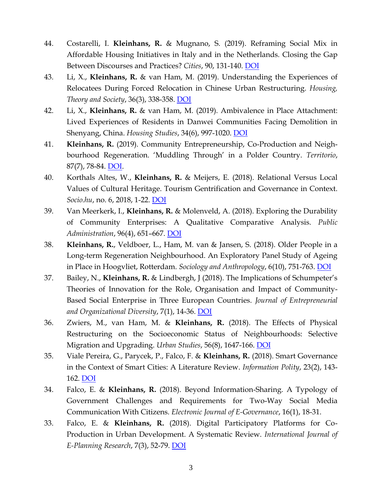- 44. Costarelli, I. **Kleinhans, R.** & Mugnano, S. (2019). Reframing Social Mix in Affordable Housing Initiatives in Italy and in the Netherlands. Closing the Gap Between Discourses and Practices? *Cities*, 90, 131-140. [DOI](https://doi.org/10.1016/j.cities.2019.01.033)
- 43. Li, X., **Kleinhans, R.** & van Ham, M. (2019). Understanding the Experiences of Relocatees During Forced Relocation in Chinese Urban Restructuring. *Housing, Theory and Society*, 36(3), 338-358. [DOI](https://doi.org/10.1080/14036096.2018.1510432)
- 42. Li, X., **Kleinhans, R.** & van Ham, M. (2019). Ambivalence in Place Attachment: Lived Experiences of Residents in Danwei Communities Facing Demolition in Shenyang, China. *Housing Studies*, 34(6), 997-1020. [DOI](https://doi.org/10.1080/02673037.2018.1509948)
- 41. **Kleinhans, R.** (2019). Community Entrepreneurship, Co-Production and Neighbourhood Regeneration. 'Muddling Through' in a Polder Country. *Territorio*, 87(7), 78-84. [DOI.](https://www.francoangeli.it/riviste/Schedarivista.aspx?IDArticolo=64137)
- 40. Korthals Altes, W., **Kleinhans, R.** & Meijers, E. (2018). Relational Versus Local Values of Cultural Heritage. Tourism Gentrification and Governance in Context. *Socio.hu*, no. 6, 2018, 1-22. [DOI](https://socio.hu/uploads/files/2018eng_culther/2018eng_korthals.pdf)
- 39. Van Meerkerk, I., **Kleinhans, R.** & Molenveld, A. (2018). Exploring the Durability of Community Enterprises: A Qualitative Comparative Analysis. *Public Administration*, 96(4), 651–667. [DOI](http://dx.doi.org/10.1111/padm.12523)
- 38. **Kleinhans, R.**, Veldboer, L., Ham, M. van & Jansen, S. (2018). Older People in a Long-term Regeneration Neighbourhood. An Exploratory Panel Study of Ageing in Place in Hoogvliet, Rotterdam. *Sociology and Anthropology*, 6(10), 751-763. [DOI](http://www.hrpub.org/download/20180930/SA1-19612103.pdf)
- 37. Bailey, N., **Kleinhans, R.** & Lindbergh, J (2018). The Implications of Schumpeter's Theories of Innovation for the Role, Organisation and Impact of Community-Based Social Enterprise in Three European Countries. *Journal of Entrepreneurial and Organizational Diversity*, 7(1), 14-36. [DOI](http://dx.doi.org/10.5947/jeod.2018.002)
- 36. Zwiers, M., van Ham, M. & **Kleinhans, R.** (2018). The Effects of Physical Restructuring on the Socioeconomic Status of Neighbourhoods: Selective Migration and Upgrading. *Urban Studies*, 56(8), 1647-166. [DOI](https://doi.org/10.1177/0042098018772980)
- 35. Viale Pereira, G., Parycek, P., Falco, F. & **Kleinhans, R.** (2018). Smart Governance in the Context of Smart Cities: A Literature Review. *Information Polity*, 23(2), 143- 162. [DOI](https://doi.org/10.3233/IP-170067)
- 34. Falco, E. & **Kleinhans, R.** (2018). Beyond Information-Sharing. A Typology of Government Challenges and Requirements for Two-Way Social Media Communication With Citizens. *Electronic Journal of E-Governance*, 16(1), 18-31.
- 33. Falco, E. & **Kleinhans, R.** (2018). Digital Participatory Platforms for Co-Production in Urban Development. A Systematic Review. *International Journal of E-Planning Research*, 7(3), 52-79. [DOI](https://doi.org/10.4018/IJEPR.2018070105)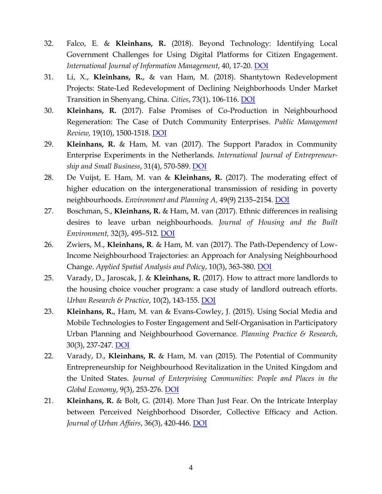- 32. Falco, E. & **Kleinhans, R.** (2018). Beyond Technology: Identifying Local Government Challenges for Using Digital Platforms for Citizen Engagement. *International Journal of Information Management*, 40, 17-20. [DOI](https://doi.org/10.1016/j.ijinfomgt.2018.01.007)
- 31. Li, X., **Kleinhans, R.**, & van Ham, M. (2018). Shantytown Redevelopment Projects: State-Led Redevelopment of Declining Neighborhoods Under Market Transition in Shenyang, China. *Cities*, 73(1), 106-116. [DOI](http://dx.doi.org/10.1016/j.cities.2017.10.016)
- 30. **Kleinhans, R.** (2017). False Promises of Co-Production in Neighbourhood Regeneration: The Case of Dutch Community Enterprises. *Public Management Review,* 19(10), 1500-1518. [DOI](http://dx.doi.org/10.1080/14719037.2017.1287941)
- 29. **Kleinhans, R.** & Ham, M. van (2017). The Support Paradox in Community Enterprise Experiments in the Netherlands. *International Journal of Entrepreneurship and Small Business*, 31(4), 570-589. [DOI](http://www.inderscienceonline.com/doi/pdf/10.1504/IJESB.2017.085425)
- 28. De Vuijst, E. Ham, M. van & **Kleinhans, R.** (2017). The moderating effect of higher education on the intergenerational transmission of residing in poverty neighbourhoods. *Environment and Planning A,* 49(9) 2135–2154*.* [DOI](https://doi.org/10.1177/0308518X17715638)
- 27. Boschman, S., **Kleinhans, R.** & Ham, M. van (2017). Ethnic differences in realising desires to leave urban neighbourhoods. *Journal of Housing and the Built Environment,* 32(3), 495–512. [DOI](http://link.springer.com/article/10.1007/s10901-016-9524-3)
- 26. Zwiers, M., **Kleinhans, R**. & Ham, M. van (2017). The Path-Dependency of Low-Income Neighbourhood Trajectories: an Approach for Analysing Neighbourhood Change. *Applied Spatial Analysis and Policy*, 10(3), 363-380. [DOI](http://link.springer.com/article/10.1007/s12061-016-9189-z)
- 25. Varady, D., Jaroscak, J. & **Kleinhans, R.** (2017). How to attract more landlords to the housing choice voucher program: a case study of landlord outreach efforts. *Urban Research & Practice*, 10(2), 143-155. [DOI](http://www.tandfonline.com/doi/full/10.1080/17535069.2016.1175741)
- 23. **Kleinhans, R.**, Ham, M. van & Evans-Cowley, J. (2015). Using Social Media and Mobile Technologies to Foster Engagement and Self-Organisation in Participatory Urban Planning and Neighbourhood Governance. *Planning Practice & Research*, 30(3), 237-247. [DOI](https://doi.org/10.1080/02697459.2015.1051320)
- 22. Varady, D., **Kleinhans, R.** & Ham, M. van (2015). The Potential of Community Entrepreneurship for Neighbourhood Revitalization in the United Kingdom and the United States. *Journal of Enterprising Communities: People and Places in the Global Economy*, 9(3), 253-276. [DOI](https://doi.org/10.1108/JEC-01-2015-0009)
- 21. **Kleinhans, R.** & Bolt, G. (2014). More Than Just Fear. On the Intricate Interplay between Perceived Neighborhood Disorder, Collective Efficacy and Action. *Journal of Urban Affairs*, 36(3), 420-446. [DOI](https://doi.org/10.1111/juaf.12032)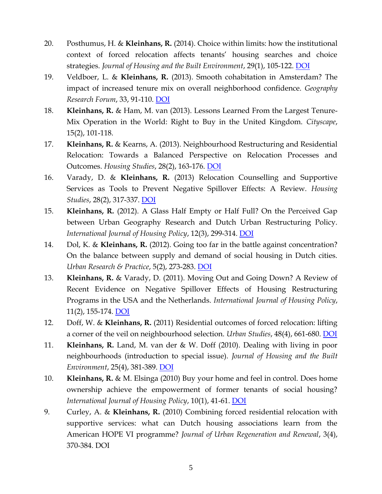- 20. Posthumus, H. & **Kleinhans, R.** (2014). Choice within limits: how the institutional context of forced relocation affects tenants' housing searches and choice strategies. *Journal of Housing and the Built Environment*, 29(1), 105-122. [DOI](https://doi.org/10.1007/s10901-013-9353-6)
- 19. Veldboer, L. & **Kleinhans, R.** (2013). Smooth cohabitation in Amsterdam? The impact of increased tenure mix on overall neighborhood confidence. *Geography Research Forum*, 33, 91-110. [DOI](http://raphael.geography.ad.bgu.ac.il/ojs/index.php/GRF/article/view/409)
- 18. **Kleinhans, R.** & Ham, M. van (2013). Lessons Learned From the Largest Tenure-Mix Operation in the World: Right to Buy in the United Kingdom. *Cityscape*, 15(2), 101-118.
- 17. **Kleinhans, R.** & Kearns, A. (2013). Neighbourhood Restructuring and Residential Relocation: Towards a Balanced Perspective on Relocation Processes and Outcomes. *Housing Studies*, 28(2), 163-176. [DOI](https://doi.org/10.1080/02673037.2013.768001)
- 16. Varady, D. & **Kleinhans, R.** (2013) Relocation Counselling and Supportive Services as Tools to Prevent Negative Spillover Effects: A Review. *Housing Studies*, 28(2), 317-337. [DOI](https://doi.org/10.1080/02673037.2013.767882)
- 15. **Kleinhans, R.** (2012). A Glass Half Empty or Half Full? On the Perceived Gap between Urban Geography Research and Dutch Urban Restructuring Policy. *International Journal of Housing Policy*, 12(3), 299-314. [DOI](https://doi.org/10.1080/14616718.2012.709669)
- 14. Dol, K. & **Kleinhans, R.** (2012). Going too far in the battle against concentration? On the balance between supply and demand of social housing in Dutch cities. *Urban Research & Practice*, 5(2), 273-283. [DOI](https://doi.org/10.1080/17535069.2012.691623)
- 13. **Kleinhans, R.** & Varady, D. (2011). Moving Out and Going Down? A Review of Recent Evidence on Negative Spillover Effects of Housing Restructuring Programs in the USA and the Netherlands. *International Journal of Housing Policy*, 11(2), 155-174. [DOI](https://doi.org/10.1080/14616718.2011.573205)
- 12. Doff, W. & **Kleinhans, R.** (2011) Residential outcomes of forced relocation: lifting a corner of the veil on neighbourhood selection. *Urban Studies*, 48(4), 661-680. [DOI](https://doi.org/10.1177/0042098010366745)
- 11. **Kleinhans, R.** Land, M. van der & W. Doff (2010). Dealing with living in poor neighbourhoods (introduction to special issue). *Journal of Housing and the Built Environment*, 25(4), 381-389. [DOI](https://doi.org/10.1007/s10901-010-9194-5)
- 10. **Kleinhans, R.** & M. Elsinga (2010) Buy your home and feel in control. Does home ownership achieve the empowerment of former tenants of social housing? *International Journal of Housing Policy*, 10(1), 41-61. [DOI](https://doi.org/10.1080/14616710903573757)
- 9. Curley, A. & **Kleinhans, R.** (2010) Combining forced residential relocation with supportive services: what can Dutch housing associations learn from the American HOPE VI programme? *Journal of Urban Regeneration and Renewal*, 3(4), 370-384. DOI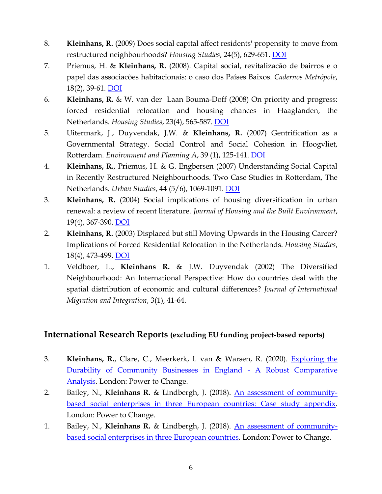- 8. **Kleinhans, R.** (2009) Does social capital affect residents' propensity to move from restructured neighbourhoods? *Housing Studies*, 24(5), 629-651. [DOI](https://doi.org/10.1080/02673030903085784)
- 7. Priemus, H. & **Kleinhans, R.** (2008). Capital social, revitalizacão de bairros e o papel das associacões habitacionais: o caso dos Países Baixos. *Cadernos Metrópole*, 18(2), 39-61. [DOI](http://www.redalyc.org/html/4028/402837797002/)
- 6. **Kleinhans, R.** & W. van der Laan Bouma-Doff (2008) On priority and progress: forced residential relocation and housing chances in Haaglanden, the Netherlands. *Housing Studies*, 23(4), 565-587. [DOI](https://doi.org/10.1080/02673030802101641)
- 5. Uitermark, J., Duyvendak, J.W. & **Kleinhans, R.** (2007) Gentrification as a Governmental Strategy. Social Control and Social Cohesion in Hoogvliet, Rotterdam. *Environment and Planning A*, 39 (1), 125-141. [DOI](https://doi.org/10.1068/a39142)
- 4. **Kleinhans, R.**, Priemus, H. & G. Engbersen (2007) Understanding Social Capital in Recently Restructured Neighbourhoods. Two Case Studies in Rotterdam, The Netherlands. *Urban Studies*, 44 (5/6), 1069-1091. [DOI](https://doi.org/10.1080/00420980701256047)
- 3. **Kleinhans, R.** (2004) Social implications of housing diversification in urban renewal: a review of recent literature. *Journal of Housing and the Built Environment*, 19(4), 367-390. [DOI](https://doi.org/10.1007/s10901-004-3041-5)
- 2. **Kleinhans, R.** (2003) Displaced but still Moving Upwards in the Housing Career? Implications of Forced Residential Relocation in the Netherlands. *Housing Studies*, 18(4), 473-499. [DOI](https://doi.org/10.1080/02673030304248)
- 1. Veldboer, L., **Kleinhans R.** & J.W. Duyvendak (2002) The Diversified Neighbourhood: An International Perspective: How do countries deal with the spatial distribution of economic and cultural differences? *Journal of International Migration and Integration*, 3(1), 41-64.

## **International Research Reports (excluding EU funding project-based reports)**

- 3. **Kleinhans, R.**, Clare, C., Meerkerk, I. van & Warsen, R. (2020). [Exploring the](https://www.powertochange.org.uk/research/exploring-durability-community-businesses-england/)  [Durability of Community Businesses in England -](https://www.powertochange.org.uk/research/exploring-durability-community-businesses-england/) A Robust Comparative [Analysis.](https://www.powertochange.org.uk/research/exploring-durability-community-businesses-england/) London: Power to Change.
- 2. Bailey, N., **Kleinhans R.** & Lindbergh, J. (2018). [An assessment of community](https://www.powertochange.org.uk/research/assessment-community-based-social-enterprises-three-european-countries-case-study-appendix/)[based social enterprises in three European countries: Case study appendix.](https://www.powertochange.org.uk/research/assessment-community-based-social-enterprises-three-european-countries-case-study-appendix/) London: Power to Change.
- 1. Bailey, N., **Kleinhans R.** & Lindbergh, J. (2018). [An assessment of community](https://www.powertochange.org.uk/research/assessment-community-based-social-enterprises-three-european-countries/)[based social enterprises in three European countries.](https://www.powertochange.org.uk/research/assessment-community-based-social-enterprises-three-european-countries/) London: Power to Change.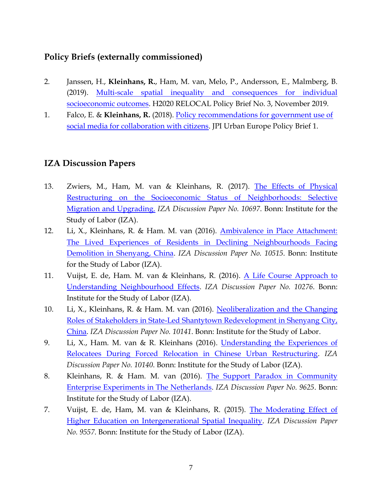### **Policy Briefs (externally commissioned)**

- 2. Janssen, H., **Kleinhans, R.**, Ham, M. van, Melo, P., Andersson, E., Malmberg, B. (2019). [Multi-scale spatial inequality and consequences for individual](https://relocal.eu/wp-content/uploads/sites/8/2019/11/RELOCAL-POLICY-BRIEF-3.pdf)  [socioeconomic outcomes.](https://relocal.eu/wp-content/uploads/sites/8/2019/11/RELOCAL-POLICY-BRIEF-3.pdf) H2020 RELOCAL Policy Brief No. 3, November 2019.
- 1. Falco, E. & **Kleinhans, R.** (2018). [Policy recommendations for government use of](https://jpi-urbaneurope.eu/app/uploads/2018/11/Policy-Brief-SmartGov-171215-1.pdf) [social media for collaboration with citizens.](https://jpi-urbaneurope.eu/app/uploads/2018/11/Policy-Brief-SmartGov-171215-1.pdf) JPI Urban Europe Policy Brief 1.

### **IZA Discussion Papers**

- 13. Zwiers, M., Ham, M. van & Kleinhans, R. (2017). [The Effects of Physical](https://papers.ssrn.com/soL3/papers.cfm?abstract_id=2956792)  [Restructuring on the Socioeconomic Status of Neighborhoods: Selective](https://papers.ssrn.com/soL3/papers.cfm?abstract_id=2956792)  [Migration and Upgrading.](https://papers.ssrn.com/soL3/papers.cfm?abstract_id=2956792) *IZA Discussion Paper No. 10697*. Bonn: Institute for the Study of Labor (IZA).
- 12. Li, X., Kleinhans, R. & Ham. M. van (2016). [Ambivalence in Place Attachment:](http://ftp.iza.org/dp10515.pdf)  [The Lived Experiences of Residents in Declining Neighbourhoods Facing](http://ftp.iza.org/dp10515.pdf)  [Demolition in Shenyang, China.](http://ftp.iza.org/dp10515.pdf) *IZA Discussion Paper No. 10515*. Bonn: Institute for the Study of Labor (IZA).
- 11. Vuijst, E. de, Ham. M. van & Kleinhans, R. (2016). [A Life Course Approach to](http://ftp.iza.org/dp10276.pdf)  [Understanding Neighbourhood Effects.](http://ftp.iza.org/dp10276.pdf) *IZA Discussion Paper No. 10276*. Bonn: Institute for the Study of Labor (IZA).
- 10. Li, X., Kleinhans, R. & Ham. M. van (2016). [Neoliberalization and the Changing](http://ftp.iza.org/dp10141.pdf)  [Roles of Stakeholders in State-Led Shantytown Redevelopment in Shenyang City,](http://ftp.iza.org/dp10141.pdf)  [China.](http://ftp.iza.org/dp10141.pdf) *IZA Discussion Paper No. 10141*. Bonn: Institute for the Study of Labor.
- 9. Li, X., Ham. M. van & R. Kleinhans (2016). [Understanding the Experiences of](http://ftp.iza.org/dp10140.pdf)  [Relocatees During Forced Relocation in Chinese Urban Restructuring.](http://ftp.iza.org/dp10140.pdf) *IZA Discussion Paper No. 10140*. Bonn: Institute for the Study of Labor (IZA).
- 8. Kleinhans, R. & Ham. M. van (2016). [The Support Paradox in Community](http://ftp.iza.org/dp9625.pdf)  [Enterprise Experiments in The Netherlands.](http://ftp.iza.org/dp9625.pdf) *IZA Discussion Paper No. 9625*. Bonn: Institute for the Study of Labor (IZA).
- 7. Vuijst, E. de, Ham, M. van & Kleinhans, R. (2015). [The Moderating Effect of](http://ftp.iza.org/dp9557.pdf)  [Higher Education on Intergenerational Spatial Inequality.](http://ftp.iza.org/dp9557.pdf) *IZA Discussion Paper No. 9557*. Bonn: Institute for the Study of Labor (IZA).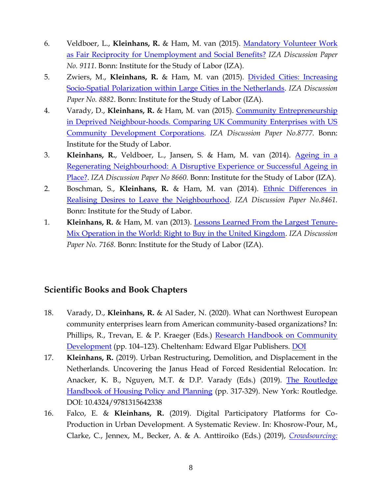- 6. Veldboer, L., **Kleinhans, R.** & Ham, M. van (2015). [Mandatory Volunteer Work](http://ftp.iza.org/dp9111.pdf)  [as Fair Reciprocity for Unemployment and Social Benefits?](http://ftp.iza.org/dp9111.pdf) *IZA Discussion Paper No. 9111*. Bonn: Institute for the Study of Labor (IZA).
- 5. Zwiers, M., **Kleinhans, R.** & Ham, M. van (2015). [Divided Cities: Increasing](http://ftp.iza.org/dp8882.pdf)  [Socio-Spatial Polarization within Large Cities in the Netherlands.](http://ftp.iza.org/dp8882.pdf) *IZA Discussion Paper No. 8882*. Bonn: Institute for the Study of Labor (IZA).
- 4. Varady, D., **Kleinhans, R.** & Ham, M. van (2015). [Community Entrepreneurship](http://ftp.iza.org/dp8777.pdf)  [in Deprived Neighbour-hoods. Comparing UK Community Enterprises with US](http://ftp.iza.org/dp8777.pdf)  [Community Development Corporations.](http://ftp.iza.org/dp8777.pdf) *IZA Discussion Paper No.8777*. Bonn: Institute for the Study of Labor.
- 3. **Kleinhans, R.**, Veldboer, L., Jansen, S. & Ham, M. van (2014). [Ageing in a](http://ftp.iza.org/dp8660.pdf)  [Regenerating Neighbourhood: A Disruptive Experience or Successful Ageing in](http://ftp.iza.org/dp8660.pdf)  [Place?.](http://ftp.iza.org/dp8660.pdf) *IZA Discussion Paper No 8660.* Bonn: Institute for the Study of Labor (IZA).
- 2. Boschman, S., **Kleinhans, R.** & Ham, M. van (2014). [Ethnic Differences in](http://ftp.iza.org/dp8461.pdf)  [Realising Desires to Leave the Neighbourhood.](http://ftp.iza.org/dp8461.pdf) *IZA Discussion Paper No.8461.*  Bonn: Institute for the Study of Labor.
- 1. **Kleinhans, R.** & Ham, M. van (2013). [Lessons Learned From the Largest Tenure-](http://ftp.iza.org/dp7168.pdf)[Mix Operation in the World: Right to Buy in the United Kingdom.](http://ftp.iza.org/dp7168.pdf) *IZA Discussion Paper No. 7168.* Bonn: Institute for the Study of Labor (IZA).

## **Scientific Books and Book Chapters**

- 18. Varady, D., **Kleinhans, R.** & Al Sader, N. (2020). What can Northwest European community enterprises learn from American community-based organizations? In: Phillips, R., Trevan, E. & P. Kraeger (Eds.) [Research Handbook on Community](https://www.elgaronline.com/view/edcoll/9781788118460/9781788118460.00013.xml)  [Development](https://www.elgaronline.com/view/edcoll/9781788118460/9781788118460.00013.xml) (pp. 104–123). Cheltenham: Edward Elgar Publishers. [DOI](https://doi.org/10.4337/9781788118477.00013)
- 17. **Kleinhans, R.** (2019). Urban Restructuring, Demolition, and Displacement in the Netherlands. Uncovering the Janus Head of Forced Residential Relocation. In: Anacker, K. B., Nguyen, M.T. & D.P. Varady (Eds.) (2019). The Routledge [Handbook of Housing Policy and Planning](https://www.routledge.com/The-Routledge-Handbook-of-Housing-Policy-and-Planning-1st-Edition/Anacker-Nguyen-Varady/p/book/9781315642338) (pp. 317-329). New York: Routledge. DOI: 10.4324/9781315642338
- 16. Falco, E. & **Kleinhans, R.** (2019). Digital Participatory Platforms for Co-Production in Urban Development. A Systematic Review. In: Khosrow-Pour, M., Clarke, C., Jennex, M., Becker, A. & A. Anttiroiko (Eds.) (2019), *[Crowdsourcing:](https://www.igi-global.com/book/crowdsourcing-concepts-methodologies-tools-applications/217361)*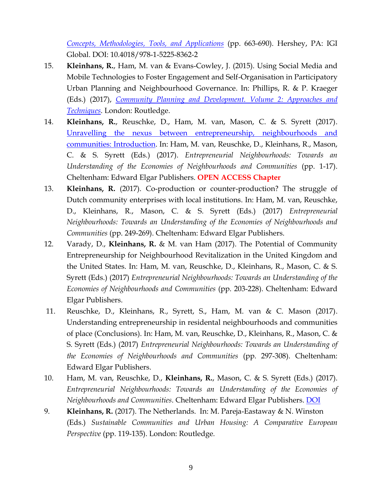*[Concepts, Methodologies, Tools, and Applications](https://www.igi-global.com/book/crowdsourcing-concepts-methodologies-tools-applications/217361)* (pp. 663-690). Hershey, PA: IGI Global. DOI: 10.4018/978-1-5225-8362-2

- 15. **Kleinhans, R.**, Ham, M. van & Evans-Cowley, J. (2015). Using Social Media and Mobile Technologies to Foster Engagement and Self-Organisation in Participatory Urban Planning and Neighbourhood Governance. In: Phillips, R. & P. Kraeger (Eds.) (2017), *[Community Planning and Development. Volume 2: Approaches](https://www.routledge.com/Community-Planning-and-Development/Phillips/p/book/9781138023093) and [Techniques](https://www.routledge.com/Community-Planning-and-Development/Phillips/p/book/9781138023093)*. London: Routledge.
- 14. **Kleinhans, R.**, Reuschke, D., Ham, M. van, Mason, C. & S. Syrett (2017). [Unravelling the nexus between entrepreneurship, neighbourhoods and](https://www.researchgate.net/publication/319123593_Unravelling_the_nexus_between_entrepreneurship_neighbourhoods_and_communities_-_Introduction)  [communities: Introduction.](https://www.researchgate.net/publication/319123593_Unravelling_the_nexus_between_entrepreneurship_neighbourhoods_and_communities_-_Introduction) In: Ham, M. van, Reuschke, D., Kleinhans, R., Mason, C. & S. Syrett (Eds.) (2017). *Entrepreneurial Neighbourhoods: Towards an Understanding of the Economies of Neighbourhoods and Communities* (pp. 1-17). Cheltenham: Edward Elgar Publishers. **OPEN ACCESS Chapter**
- 13. **Kleinhans, R.** (2017). Co-production or counter-production? The struggle of Dutch community enterprises with local institutions. In: Ham, M. van, Reuschke, D., Kleinhans, R., Mason, C. & S. Syrett (Eds.) (2017) *Entrepreneurial Neighbourhoods: Towards an Understanding of the Economies of Neighbourhoods and Communities* (pp. 249-269). Cheltenham: Edward Elgar Publishers.
- 12. Varady, D., **Kleinhans, R.** & M. van Ham (2017). The Potential of Community Entrepreneurship for Neighbourhood Revitalization in the United Kingdom and the United States. In: Ham, M. van, Reuschke, D., Kleinhans, R., Mason, C. & S. Syrett (Eds.) (2017) *Entrepreneurial Neighbourhoods: Towards an Understanding of the Economies of Neighbourhoods and Communities* (pp. 203-228). Cheltenham: Edward Elgar Publishers.
- 11. Reuschke, D., Kleinhans, R., Syrett, S., Ham, M. van & C. Mason (2017). Understanding entrepreneurship in residental neighbourhoods and communities of place (Conclusions). In: Ham, M. van, Reuschke, D., Kleinhans, R., Mason, C. & S. Syrett (Eds.) (2017) *Entrepreneurial Neighbourhoods: Towards an Understanding of the Economies of Neighbourhoods and Communities* (pp. 297-308). Cheltenham: Edward Elgar Publishers.
- 10. Ham, M. van, Reuschke, D., **Kleinhans, R.**, Mason, C. & S. Syrett (Eds.) (2017). *Entrepreneurial Neighbourhoods: Towards an Understanding of the Economies of Neighbourhoods and Communities*. Cheltenham: Edward Elgar Publishers. [DOI](https://doi.org/10.4337/9781785367243)
- 9. **Kleinhans, R.** (2017). The Netherlands. In: M. Pareja-Eastaway & N. Winston (Eds.) *Sustainable Communities and Urban Housing: A Comparative European Perspective* (pp. 119-135). London: Routledge*.*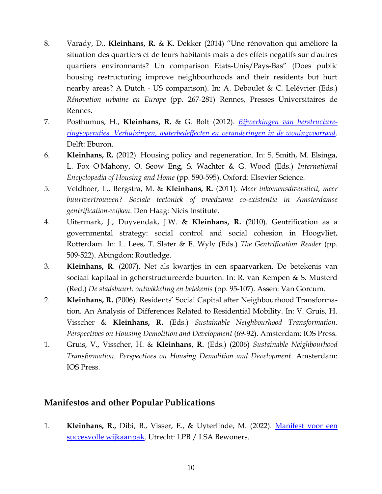- 8. Varady, D., **Kleinhans, R.** & K. Dekker (2014) "Une rénovation qui améliore la situation des quartiers et de leurs habitants mais a des effets negatifs sur d'autres quartiers environnants? Un comparison Etats-Unis/Pays-Bas" (Does public housing restructuring improve neighbourhoods and their residents but hurt nearby areas? A Dutch - US comparison). In: A. Deboulet & C. Lelévrier (Eds.) *Rénovation urbaine en Europe* (pp. 267-281) Rennes, Presses Universitaires de Rennes.
- 7. Posthumus, H., **Kleinhans, R.** & G. Bolt (2012). *[Bijwerkingen van herstructure](https://www.researchgate.net/publication/256711580_Bijwerkingen_van_herstructureringsoperaties_Verhuizingen_waterbedeffecten_en_veranderingen_in_de_woningvoorraad)ringsoperaties. [Verhuizingen, waterbedeffecten en veranderingen in de woningvoorraad](https://www.researchgate.net/publication/256711580_Bijwerkingen_van_herstructureringsoperaties_Verhuizingen_waterbedeffecten_en_veranderingen_in_de_woningvoorraad)*. Delft: Eburon.
- 6. **Kleinhans, R.** (2012). Housing policy and regeneration. In: S. Smith, M. Elsinga, L. Fox O'Mahony, O. Seow Eng, S. Wachter & G. Wood (Eds.) *International Encyclopedia of Housing and Home* (pp. 590-595). Oxford: Elsevier Science.
- 5. Veldboer, L., Bergstra, M. & **Kleinhans, R.** (2011). *Meer inkomensdiversiteit, meer buurtvertrouwen? Sociale tectoniek of vreedzame co-existentie in Amsterdamse gentrification-wijken*. Den Haag: Nicis Institute.
- 4. Uitermark, J., Duyvendak, J.W. & **Kleinhans, R.** (2010). Gentrification as a governmental strategy: social control and social cohesion in Hoogvliet, Rotterdam. In: L. Lees, T. Slater & E. Wyly (Eds.) *The Gentrification Reader* (pp. 509-522). Abingdon: Routledge.
- 3. **Kleinhans, R**. (2007). Net als kwartjes in een spaarvarken. De betekenis van sociaal kapitaal in geherstructureerde buurten. In: R. van Kempen & S. Musterd (Red.) *De stadsbuurt: ontwikkeling en betekenis* (pp. 95-107). Assen: Van Gorcum.
- 2. **Kleinhans, R.** (2006). Residents' Social Capital after Neighbourhood Transformation. An Analysis of Differences Related to Residential Mobility. In: V. Gruis, H. Visscher & **Kleinhans, R.** (Eds.) *Sustainable Neighbourhood Transformation. Perspectives on Housing Demolition and Development* (69-92). Amsterdam: IOS Press.
- 1. Gruis, V., Visscher, H. & **Kleinhans, R.** (Eds.) (2006) *Sustainable Neighbourhood Transformation. Perspectives on Housing Demolition and Development*. Amsterdam: IOS Press.

### **Manifestos and other Popular Publications**

1. **Kleinhans, R.,** Dibi, B., Visser, E., & Uyterlinde, M. (2022). [Manifest voor een](https://www.lsabewoners.nl/wp-content/uploads/2022/03/Manifest-succesvolle-wijkaanpak-digitaal.pdf)  [succesvolle wijkaanpak.](https://www.lsabewoners.nl/wp-content/uploads/2022/03/Manifest-succesvolle-wijkaanpak-digitaal.pdf) Utrecht: LPB / LSA Bewoners.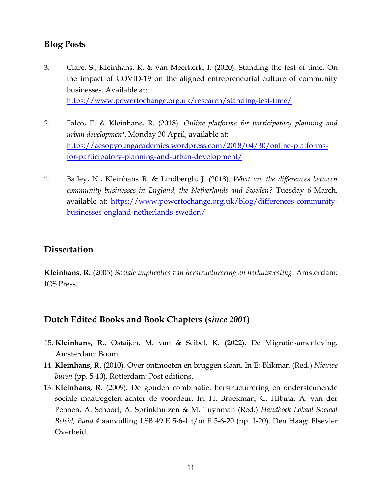## **Blog Posts**

3. Clare, S., Kleinhans, R. & van Meerkerk, I. (2020). Standing the test of time. On the impact of COVID-19 on the aligned entrepreneurial culture of community businesses. Available at:

<https://www.powertochange.org.uk/research/standing-test-time/>

- 2. Falco, E. & Kleinhans, R. (2018). *Online platforms for participatory planning and urban development*. Monday 30 April, available at: [https://aesopyoungacademics.wordpress.com/2018/04/30/online-platforms](https://aesopyoungacademics.wordpress.com/2018/04/30/online-platforms-for-participatory-planning-and-urban-development/)[for-participatory-planning-and-urban-development/](https://aesopyoungacademics.wordpress.com/2018/04/30/online-platforms-for-participatory-planning-and-urban-development/)
- 1. Bailey, N., Kleinhans R. & Lindbergh, J. (2018). *What are the differences between community businesses in England, the Netherlands and Sweden?* Tuesday 6 March, available at: [https://www.powertochange.org.uk/blog/differences-community](https://www.powertochange.org.uk/blog/differences-community-businesses-england-netherlands-sweden/)[businesses-england-netherlands-sweden/](https://www.powertochange.org.uk/blog/differences-community-businesses-england-netherlands-sweden/)

## **Dissertation**

**Kleinhans, R.** (2005) *Sociale implicaties van herstructurering en herhuisvesting*. Amsterdam: IOS Press.

## **Dutch Edited Books and Book Chapters (***since 2001***)**

- 15. **Kleinhans, R.**, Ostaijen, M. van & Seibel, K. (2022). De Migratiesamenleving. Amsterdam: Boom.
- 14. **Kleinhans, R.** (2010). Over ontmoeten en bruggen slaan. In E: Blikman (Red.) *Nieuwe buren* (pp. 5-10). Rotterdam: Post editions.
- 13. **Kleinhans, R.** (2009). De gouden combinatie: herstructurering en ondersteunende sociale maatregelen achter de voordeur. In: H. Broekman, C. Hibma, A. van der Pennen, A. Schoorl, A. Sprinkhuizen & M. Tuynman (Red.) *Handboek Lokaal Sociaal Beleid, Band 4* aanvulling LSB 49 E 5-6-1 t/m E 5-6-20 (pp. 1-20). Den Haag: Elsevier Overheid.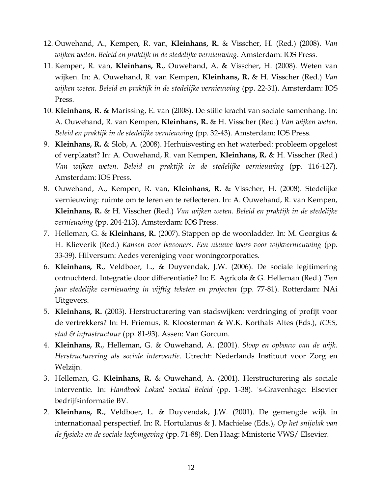- 12. Ouwehand, A., Kempen, R. van, **Kleinhans, R.** & Visscher, H. (Red.) (2008). *Van wijken weten. Beleid en praktijk in de stedelijke vernieuwing*. Amsterdam: IOS Press.
- 11. Kempen, R. van, **Kleinhans, R.**, Ouwehand, A. & Visscher, H. (2008). Weten van wijken. In: A. Ouwehand, R. van Kempen, **Kleinhans, R.** & H. Visscher (Red.) *Van wijken weten. Beleid en praktijk in de stedelijke vernieuwing* (pp. 22-31). Amsterdam: IOS Press.
- 10. **Kleinhans, R.** & Marissing, E. van (2008). De stille kracht van sociale samenhang. In: A. Ouwehand, R. van Kempen, **Kleinhans, R.** & H. Visscher (Red.) *Van wijken weten. Beleid en praktijk in de stedelijke vernieuwing* (pp. 32-43). Amsterdam: IOS Press.
- 9. **Kleinhans, R.** & Slob, A. (2008). Herhuisvesting en het waterbed: probleem opgelost of verplaatst? In: A. Ouwehand, R. van Kempen, **Kleinhans, R.** & H. Visscher (Red.) *Van wijken weten. Beleid en praktijk in de stedelijke vernieuwing* (pp. 116-127). Amsterdam: IOS Press.
- 8. Ouwehand, A., Kempen, R. van, **Kleinhans, R.** & Visscher, H. (2008). Stedelijke vernieuwing: ruimte om te leren en te reflecteren. In: A. Ouwehand, R. van Kempen, **Kleinhans, R.** & H. Visscher (Red.) *Van wijken weten. Beleid en praktijk in de stedelijke vernieuwing* (pp. 204-213). Amsterdam: IOS Press.
- 7. Helleman, G. & **Kleinhans, R.** (2007). Stappen op de woonladder. In: M. Georgius & H. Klieverik (Red.) *Kansen voor bewoners. Een nieuwe koers voor wijkvernieuwing* (pp. 33-39). Hilversum: Aedes vereniging voor woningcorporaties.
- 6. **Kleinhans, R.**, Veldboer, L., & Duyvendak, J.W. (2006). De sociale legitimering ontnuchterd. Integratie door differentiatie? In: E. Agricola & G. Helleman (Red.) *Tien jaar stedelijke vernieuwing in vijftig teksten en projecten* (pp. 77-81). Rotterdam: NAi Uitgevers.
- 5. **Kleinhans, R.** (2003). Herstructurering van stadswijken: verdringing of profijt voor de vertrekkers? In: H. Priemus, R. Kloosterman & W.K. Korthals Altes (Eds.), *ICES, stad & infrastructuur* (pp. 81-93). Assen: Van Gorcum.
- 4. **Kleinhans, R.**, Helleman, G. & Ouwehand, A. (2001). *Sloop en opbouw van de wijk. Herstructurering als sociale interventie*. Utrecht: Nederlands Instituut voor Zorg en Welzijn.
- 3. Helleman, G. **Kleinhans, R.** & Ouwehand, A. (2001). Herstructurering als sociale interventie. In: *Handboek Lokaal Sociaal Beleid* (pp. 1-38). 's-Gravenhage: Elsevier bedrijfsinformatie BV.
- 2. **Kleinhans, R.**, Veldboer, L. & Duyvendak, J.W. (2001). De gemengde wijk in internationaal perspectief. In: R. Hortulanus & J. Machielse (Eds.), *Op het snijvlak van de fysieke en de sociale leefomgeving* (pp. 71-88). Den Haag: Ministerie VWS/ Elsevier.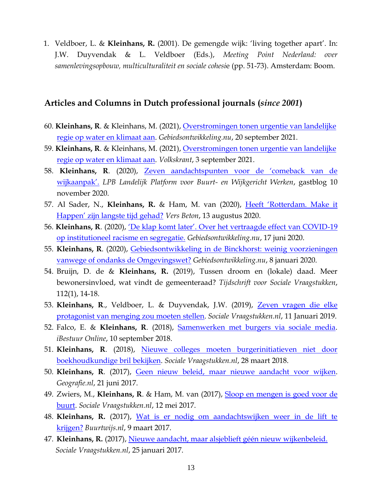1. Veldboer, L. & **Kleinhans, R.** (2001). De gemengde wijk: 'living together apart'. In: J.W. Duyvendak & L. Veldboer (Eds.), *Meeting Point Nederland: over samenlevingsopbouw, multiculturaliteit en sociale cohesi*e (pp. 51-73). Amsterdam: Boom.

#### **Articles and Columns in Dutch professional journals (***since 2001***)**

- 60. **Kleinhans, R**. & Kleinhans, M. (2021), [Overstromingen tonen urgentie van landelijke](https://www.gebiedsontwikkeling.nu/artikelen/overstromingen-tonen-urgentie-van-landelijke-regie-op-water-en-klimaat-aan/) [regie op water en klimaat aan.](https://www.gebiedsontwikkeling.nu/artikelen/overstromingen-tonen-urgentie-van-landelijke-regie-op-water-en-klimaat-aan/) *Gebiedsontwikkeling.nu*, 20 september 2021.
- 59. **Kleinhans, R**. & Kleinhans, M. (2021), [Overstromingen tonen urgentie van landelijke](https://www.volkskrant.nl/columns-opinie/opinie-overstromingen-tonen-urgentie-van-landelijke-regie-op-water-en-klimaat-aan~b9fd3290/) [regie op water en klimaat aan.](https://www.volkskrant.nl/columns-opinie/opinie-overstromingen-tonen-urgentie-van-landelijke-regie-op-water-en-klimaat-aan~b9fd3290/) *Volkskrant*, 3 september 2021.
- 58. **Kleinhans, R**. (2020), [Zeven aandachtspunten voor de 'comeback van de](https://lpb.nl/blog-vlog/blog-vlog-bericht/gastblog-zeven-aandachtspunten-voor-de-comeback-van-de-wijkaanpak/)  [wijkaanpak'.](https://lpb.nl/blog-vlog/blog-vlog-bericht/gastblog-zeven-aandachtspunten-voor-de-comeback-van-de-wijkaanpak/) *LPB Landelijk Platform voor Buurt- en Wijkgericht Werken*, gastblog 10 november 2020.
- 57. Al Sader, N., **Kleinhans, R.** & Ham, M. van (2020), [Heeft 'Rotterdam. Make it](https://versbeton.nl/2020/08/heeft-rotterdam-make-it-happen-zijn-langste-tijd-gehad/)  [Happen' zijn langste tijd gehad?](https://versbeton.nl/2020/08/heeft-rotterdam-make-it-happen-zijn-langste-tijd-gehad/) *Vers Beton*, 13 augustus 2020.
- 56. **Kleinhans, R**. (2020), ['De klap komt later'. Over het vertraagde effect van COVID](https://www.gebiedsontwikkeling.nu/artikelen/de-klap-komt-later-over-het-vertraagde-effect-van-covid-19-op-institutioneel-racisme-en-segregatie/)-19 [op institutioneel racisme en segregatie.](https://www.gebiedsontwikkeling.nu/artikelen/de-klap-komt-later-over-het-vertraagde-effect-van-covid-19-op-institutioneel-racisme-en-segregatie/) *Gebiedsontwikkeling.nu*, 17 juni 2020.
- 55. **Kleinhans, R**. (2020), [Gebiedsontwikkeling in de Binckhorst: weinig voorzieningen](https://www.gebiedsontwikkeling.nu/artikelen/gebiedsontwikkeling-de-binckhorst-weinig-voorzieningen-vanwege-ondanks-de-omgevingswet/)  [vanwege of ondanks de Omgevingswet?](https://www.gebiedsontwikkeling.nu/artikelen/gebiedsontwikkeling-de-binckhorst-weinig-voorzieningen-vanwege-ondanks-de-omgevingswet/) *Gebiedsontwikkeling.nu*, 8 januari 2020.
- 54. Bruijn, D. de & **Kleinhans, R.** (2019), Tussen droom en (lokale) daad. Meer bewonersinvloed, wat vindt de gemeenteraad? *Tijdschrift voor Sociale Vraagstukken*, 112(1), 14-18.
- 53. **Kleinhans, R**., Veldboer, L. & Duyvendak, J.W. (2019), [Zeven vragen die elke](https://www.socialevraagstukken.nl/zeven-vragen-die-elke-mengingsprotagonist-zou-moeten-stellen/)  [protagonist van menging zou moeten](https://www.socialevraagstukken.nl/zeven-vragen-die-elke-mengingsprotagonist-zou-moeten-stellen/) stellen. *Sociale Vraagstukken.nl*, 11 Januari 2019.
- 52. Falco, E. & **Kleinhans, R**. (2018), [Samenwerken met burgers via sociale media.](https://ibestuur.nl/podium/samenwerken-met-burgers-via-sociale-media) *iBestuur Online*, 10 september 2018.
- 51. **Kleinhans, R**. (2018), [Nieuwe colleges moeten burgerinitiatieven niet door](https://www.socialevraagstukken.nl/nieuwe-colleges-moeten-burgerinitiatieven-niet-door-boekhoudkundige-bril-bekijken/)  [boekhoudkundige bril bekijken.](https://www.socialevraagstukken.nl/nieuwe-colleges-moeten-burgerinitiatieven-niet-door-boekhoudkundige-bril-bekijken/) *Sociale Vraagstukken.nl*, 28 maart 2018.
- 50. **Kleinhans, R**. (2017), [Geen nieuw beleid, maar nieuwe aandacht voor wijken.](http://geografie.nl/artikel/geen-nieuw-beleid-maar-nieuwe-aandacht-voor-wijken) *Geografie.nl*, 21 juni 2017.
- 49. Zwiers, M., **Kleinhans, R**. & Ham, M. van (2017), [Sloop en mengen is goed voor de](http://www.socialevraagstukken.nl/sloop-en-mengen-is-goed-voor-de-buurt/)  [buurt.](http://www.socialevraagstukken.nl/sloop-en-mengen-is-goed-voor-de-buurt/) *Sociale Vraagstukken.nl*, 12 mei 2017.
- 48. **Kleinhans, R.** (2017), [Wat is er nodig om aandachtswijken weer in de lift te](https://www.buurtwijs.nl/content/wat-er-nodig-om-aandachtswijken-weer-de-lift-te-krijgen)  [krijgen?](https://www.buurtwijs.nl/content/wat-er-nodig-om-aandachtswijken-weer-de-lift-te-krijgen) *Buurtwijs.nl*, 9 maart 2017.
- 47. **Kleinhans, R.** (2017), [Nieuwe aandacht, maar alsjeblieft géén nieuw wijkenbeleid.](http://www.socialevraagstukken.nl/nieuwe-aandacht-maar-alsjeblieft-geen-nieuw-wijkenbeleid/)  *Sociale Vraagstukken.nl*, 25 januari 2017.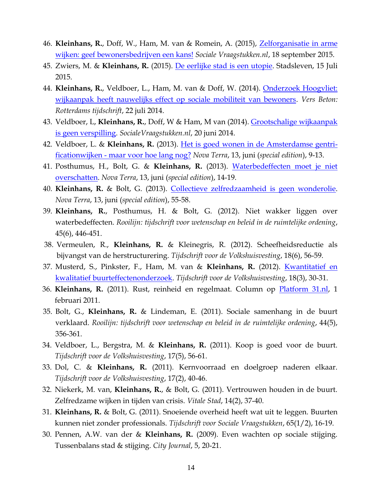- 46. **Kleinhans, R.**, Doff, W., Ham, M. van & Romein, A. (2015), [Zelforganisatie in arme](http://www.socialevraagstukken.nl/zelforganisatie-in-arme-wijken-geef-bewonersbedrijven-een-kans/)  [wijken: geef bewonersbedrijven een kans!](http://www.socialevraagstukken.nl/zelforganisatie-in-arme-wijken-geef-bewonersbedrijven-een-kans/) *Sociale Vraagstukken.nl*, 18 september 2015.
- 45. Zwiers, M. & **Kleinhans, R.** (2015). [De eerlijke stad is een utopie.](http://www.stadslevenamsterdam.nl/2015/07/15/de-eerlijke-stad-is-een-utopie-column-merle-zwiers-en-reinout-kleinhans/) Stadsleven, 15 Juli 2015.
- 44. Kleinhans, R., Veldboer, L., Ham, M. van & Doff, W. (2014). Onderzoek Hoogvliet: [wijkaanpak heeft nauwelijks effect op sociale mobiliteit van bewoners.](http://versbeton.nl/2014/07/onderzoek-hoogvliet-wijkaanpak-heeft-nauwelijks-effect-op-sociale-mobiliteit-van-bewoners/) *Vers Beton: Rotterdams tijdschrift*, 22 juli 2014.
- 43. Veldboer, L, **Kleinhans, R.**, Doff, W & Ham, M van (2014). [Grootschalige wijkaanpak](http://www.socialevraagstukken.nl/site/2014/06/20/grootschalige-wijkaanpak-is-geen-verspilling/)  [is geen verspilling.](http://www.socialevraagstukken.nl/site/2014/06/20/grootschalige-wijkaanpak-is-geen-verspilling/) *SocialeVraagstukken.nl*, 20 juni 2014.
- 42. Veldboer, L. & **Kleinhans, R.** (2013). [Het is goed wonen in de Amsterdamse gentri](http://issuu.com/platform31/docs/nt_juni2013)ficationwijken - [maar voor hoe lang nog?](http://issuu.com/platform31/docs/nt_juni2013) *Nova Terra*, 13, juni (*special edition*), 9-13.
- 41. Posthumus, H., Bolt, G. & **Kleinhans, R.** (2013). [Waterbedeffecten moet je niet](http://issuu.com/platform31/docs/nt_juni2013)  [overschatten.](http://issuu.com/platform31/docs/nt_juni2013) *Nova Terra*, 13, juni (*special edition*), 14-19.
- 40. **Kleinhans, R.** & Bolt, G. (2013). [Collectieve zelfredzaamheid is geen wonderolie.](http://issuu.com/platform31/docs/nt_juni2013) *Nova Terra*, 13, juni (*special edition*), 55-58.
- 39. **Kleinhans, R.**, Posthumus, H. & Bolt, G. (2012). Niet wakker liggen over waterbedeffecten. *Rooilijn: tijdschrift voor wetenschap en beleid in de ruimtelijke ordening*, 45(6), 446-451.
- 38. Vermeulen, R., **Kleinhans, R.** & Kleinegris, R. (2012). Scheefheidsreductie als bijvangst van de herstructurering. *Tijdschrift voor de Volkshuisvesting*, 18(6), 56-59.
- 37. Musterd, S., Pinkster, F., Ham, M. van & **Kleinhans, R.** (2012). [Kwantitatief en](https://www.ruimteenwonen.nl/kwantitatief-en-kwalitatief-buurteffectenonderzoek)  [kwalitatief buurteffectenonderzoek.](https://www.ruimteenwonen.nl/kwantitatief-en-kwalitatief-buurteffectenonderzoek) *Tijdschrift voor de Volkshuisvesting*, 18(3), 30-31.
- 36. **Kleinhans, R.** (2011). Rust, reinheid en regelmaat. Column op [Platform 31.nl,](http://kennisbank.platform31.nl/pages/26946/Opinie/Rust-reinheid-en-regelmaat.html) 1 februari 2011.
- 35. Bolt, G., **Kleinhans, R.** & Lindeman, E. (2011). Sociale samenhang in de buurt verklaard. *Rooilijn: tijdschrift voor wetenschap en beleid in de ruimtelijke ordening*, 44(5), 356-361.
- 34. Veldboer, L., Bergstra, M. & **Kleinhans, R.** (2011). Koop is goed voor de buurt. *Tijdschrift voor de Volkshuisvesting*, 17(5), 56-61.
- 33. Dol, C. & **Kleinhans, R.** (2011). Kernvoorraad en doelgroep naderen elkaar. *Tijdschrift voor de Volkshuisvesting*, 17(2), 40-46.
- 32. Niekerk, M. van, **Kleinhans, R.**, & Bolt, G. (2011). Vertrouwen houden in de buurt. Zelfredzame wijken in tijden van crisis. *Vitale Stad*, 14(2), 37-40.
- 31. **Kleinhans, R.** & Bolt, G. (2011). Snoeiende overheid heeft wat uit te leggen. Buurten kunnen niet zonder professionals. *Tijdschrift voor Sociale Vraagstukken*, 65(1/2), 16-19.
- 30. Pennen, A.W. van der & **Kleinhans, R.** (2009). Even wachten op sociale stijging. Tussenbalans stad & stijging. *City Journal*, 5, 20-21.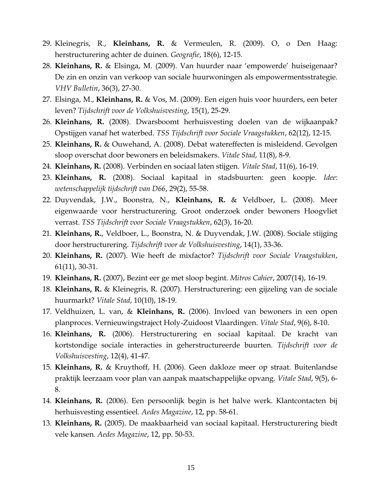- 29. Kleinegris, R., **Kleinhans, R.** & Vermeulen, R. (2009). O, o Den Haag: herstructurering achter de duinen. *Geografie*, 18(6), 12-15.
- 28. **Kleinhans, R.** & Elsinga, M. (2009). Van huurder naar 'empowerde' huiseigenaar? De zin en onzin van verkoop van sociale huurwoningen als empowermentsstrategie. *VHV Bulletin*, 36(3), 27-30.
- 27. Elsinga, M., **Kleinhans, R.** & Vos, M. (2009). Een eigen huis voor huurders, een beter leven? *Tijdschrift voor de Volkshuisvesting*, 15(1), 25-29.
- 26. **Kleinhans, R.** (2008). Dwarsboomt herhuisvesting doelen van de wijkaanpak? Opstijgen vanaf het waterbed. *TSS Tijdschrift voor Sociale Vraagstukken*, 62(12), 12-15.
- 25. **Kleinhans, R.** & Ouwehand, A. (2008). Debat watereffecten is misleidend. Gevolgen sloop overschat door bewoners en beleidsmakers. *Vitale Stad*, 11(8), 8-9.
- 24. **Kleinhans, R.** (2008). Verbinden en sociaal laten stijgen. *Vitale Stad*, 11(6), 16-19.
- 23. **Kleinhans, R.** (2008). Sociaal kapitaal in stadsbuurten: geen koopje. *Idee*: *wetenschappelijk tijdschrift van D66*, 29(2), 55-58.
- 22. Duyvendak, J.W., Boonstra, N., **Kleinhans, R.** & Veldboer, L. (2008). Meer eigenwaarde voor herstructurering. Groot onderzoek onder bewoners Hoogvliet verrast. *TSS Tijdschrift voor Sociale Vraagstukken*, 62(3), 16-20.
- 21. **Kleinhans, R.**, Veldboer, L., Boonstra, N. & Duyvendak, J.W. (2008). Sociale stijging door herstructurering. *Tijdschrift voor de Volkshuisvesting*, 14(1), 33-36.
- 20. **Kleinhans, R.** (2007). Wie heeft de mixfactor? *Tijdschrift voor Sociale Vraagstukken*, 61(11), 30-31.
- 19. **Kleinhans, R.** (2007), Bezint eer ge met sloop begint. *Mitros Cahier*, 2007(14), 16-19.
- 18. **Kleinhans, R.** & Kleinegris, R. (2007). Herstructurering: een gijzeling van de sociale huurmarkt? *Vitale Stad*, 10(10), 18-19.
- 17. Veldhuizen, L. van, & **Kleinhans, R.** (2006). Invloed van bewoners in een open planproces. Vernieuwingstraject Holy-Zuidoost Vlaardingen. *Vitale Stad*, 9(6), 8-10.
- 16. **Kleinhans, R.** (2006). Herstructurering en sociaal kapitaal. De kracht van kortstondige sociale interacties in geherstructureerde buurten. *Tijdschrift voor de Volkshuisvesting*, 12(4), 41-47.
- 15. **Kleinhans, R.** & Kruythoff, H. (2006). Geen dakloze meer op straat. Buitenlandse praktijk leerzaam voor plan van aanpak maatschappelijke opvang. *Vitale Stad*, 9(5), 6- 8.
- 14. **Kleinhans, R.** (2006). Een persoonlijk begin is het halve werk. Klantcontacten bij herhuisvesting essentieel. *Aedes Magazine*, 12, pp. 58-61.
- 13. **Kleinhans, R.** (2005). De maakbaarheid van sociaal kapitaal. Herstructurering biedt vele kansen. *Aedes Magazine*, 12, pp. 50-53.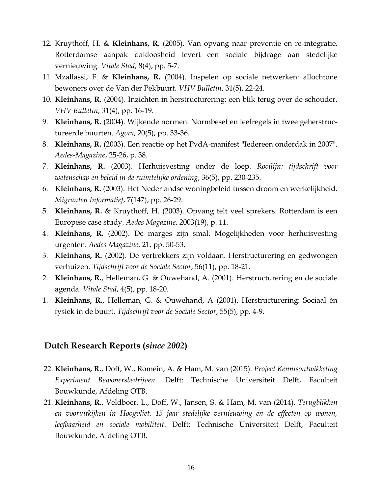- 12. Kruythoff, H. & **Kleinhans, R.** (2005). Van opvang naar preventie en re-integratie. Rotterdamse aanpak dakloosheid levert een sociale bijdrage aan stedelijke vernieuwing. *Vitale Stad*, 8(4), pp. 5-7.
- 11. Mzallassi, F. & **Kleinhans, R.** (2004). Inspelen op sociale netwerken: allochtone bewoners over de Van der Pekbuurt. *VHV Bulletin*, 31(5), 22-24.
- 10. **Kleinhans, R.** (2004). Inzichten in herstructurering: een blik terug over de schouder. *VHV Bulletin*, 31(4), pp. 16-19.
- 9. **Kleinhans, R.** (2004). Wijkende normen. Normbesef en leefregels in twee geherstructureerde buurten. *Agora*, 20(5), pp. 33-36.
- 8. **Kleinhans, R.** (2003). Een reactie op het PvdA-manifest "Iedereen onderdak in 2007". *Aedes-Magazine*, 25-26, p. 38.
- 7. **Kleinhans, R.** (2003). Herhuisvesting onder de loep. *Rooilijn: tijdschrift voor wetenschap en beleid in de ruimtelijke ordening*, 36(5), pp. 230-235.
- 6. **Kleinhans, R.** (2003). Het Nederlandse woningbeleid tussen droom en werkelijkheid. *Migranten Informatief*, 7(147), pp. 26-29.
- 5. **Kleinhans, R.** & Kruythoff, H. (2003). Opvang telt veel sprekers. Rotterdam is een Europese case study. *Aedes Magazine*, 2003(19), p. 11.
- 4. **Kleinhans, R.** (2002). De marges zijn smal. Mogelijkheden voor herhuisvesting urgenten. *Aedes Magazine*, 21, pp. 50-53.
- 3. **Kleinhans, R.** (2002). De vertrekkers zijn voldaan. Herstructurering en gedwongen verhuizen. *Tijdschrift voor de Sociale Sector*, 56(11), pp. 18-21.
- 2. **Kleinhans, R.**, Helleman, G. & Ouwehand, A. (2001). Herstructurering en de sociale agenda. *Vitale Stad*, 4(5), pp. 18-20.
- 1. **Kleinhans, R.**, Helleman, G. & Ouwehand, A (2001). Herstructurering: Sociaal èn fysiek in de buurt. *Tijdschrift voor de Sociale Sector*, 55(5), pp. 4-9.

#### **Dutch Research Reports (***since 2002***)**

- 22. **Kleinhans, R.**, Doff, W., Romein, A. & Ham, M. van (2015). *Project Kennisontwikkeling Experiment Bewonersbedrijven*. Delft: Technische Universiteit Delft, Faculteit Bouwkunde, Afdeling OTB.
- 21. **Kleinhans, R.**, Veldboer, L., Doff, W., Jansen, S. & Ham, M. van (2014). *Terugblikken en vooruitkijken in Hoogvliet. 15 jaar stedelijke vernieuwing en de effecten op wonen, leefbaarheid en sociale mobiliteit*. Delft: Technische Universiteit Delft, Faculteit Bouwkunde, Afdeling OTB.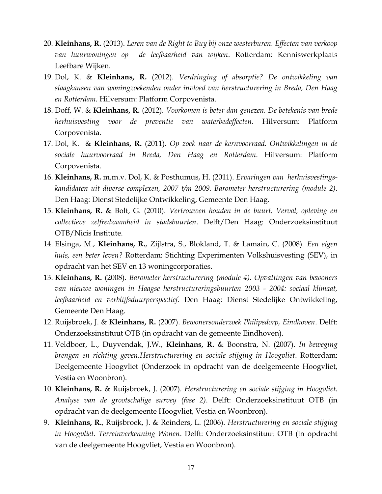- 20. **Kleinhans, R.** (2013). *Leren van de Right to Buy bij onze westerburen. Effecten van verkoop van huurwoningen op de leefbaarheid van wijken*. Rotterdam: Kenniswerkplaats Leefbare Wijken.
- 19. Dol, K. & **Kleinhans, R.** (2012). *Verdringing of absorptie? De ontwikkeling van slaagkansen van woningzoekenden onder invloed van herstructurering in Breda, Den Haag en Rotterdam.* Hilversum: Platform Corpovenista.
- 18. Doff, W. & **Kleinhans, R.** (2012). *Voorkomen is beter dan genezen. De betekenis van brede herhuisvesting voor de preventie van waterbedeffecten.* Hilversum: Platform Corpovenista.
- 17. Dol, K. & **Kleinhans, R.** (2011). *Op zoek naar de kernvoorraad. Ontwikkelingen in de sociale huurvoorraad in Breda, Den Haag en Rotterdam*. Hilversum: Platform Corpovenista.
- 16. **Kleinhans, R.** m.m.v. Dol, K. & Posthumus, H. (2011). *Ervaringen van herhuisvestingskandidaten uit diverse complexen, 2007 t/m 2009. Barometer herstructurering (module 2)*. Den Haag: Dienst Stedelijke Ontwikkeling, Gemeente Den Haag.
- 15. **Kleinhans, R.** & Bolt, G. (2010). *Vertrouwen houden in de buurt. Verval, opleving en collectieve zelfredzaamheid in stadsbuurten*. Delft/Den Haag: Onderzoeksinstituut OTB/Nicis Institute.
- 14. Elsinga, M., **Kleinhans, R.**, Zijlstra, S., Blokland, T. & Lamain, C. (2008). *Een eigen huis, een beter leven?* Rotterdam: Stichting Experimenten Volkshuisvesting (SEV), in opdracht van het SEV en 13 woningcorporaties.
- 13. **Kleinhans, R.** (2008). *Barometer herstructurering (module 4). Opvattingen van bewoners van nieuwe woningen in Haagse herstructureringsbuurten 2003 - 2004: sociaal klimaat, leefbaarheid en verblijfsduurperspectief*. Den Haag: Dienst Stedelijke Ontwikkeling, Gemeente Den Haag.
- 12. Ruijsbroek, J. & **Kleinhans, R.** (2007). *Bewonersonderzoek Philipsdorp, Eindhoven*. Delft: Onderzoeksinstituut OTB (in opdracht van de gemeente Eindhoven).
- 11. Veldboer, L., Duyvendak, J.W., **Kleinhans, R.** & Boonstra, N. (2007). *In beweging brengen en richting geven.Herstructurering en sociale stijging in Hoogvliet*. Rotterdam: Deelgemeente Hoogvliet (Onderzoek in opdracht van de deelgemeente Hoogvliet, Vestia en Woonbron).
- 10. **Kleinhans, R.** & Ruijsbroek, J. (2007). *Herstructurering en sociale stijging in Hoogvliet. Analyse van de grootschalige survey (fase 2)*. Delft: Onderzoeksinstituut OTB (in opdracht van de deelgemeente Hoogvliet, Vestia en Woonbron).
- 9. **Kleinhans, R.**, Ruijsbroek, J. & Reinders, L. (2006). *Herstructurering en sociale stijging in Hoogvliet. Terreinverkenning Wonen*. Delft: Onderzoeksinstituut OTB (in opdracht van de deelgemeente Hoogvliet, Vestia en Woonbron).